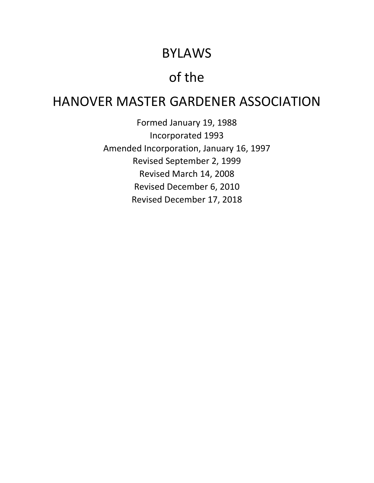# BYLAWS

# of the

# HANOVER MASTER GARDENER ASSOCIATION

Formed January 19, 1988 Incorporated 1993 Amended Incorporation, January 16, 1997 Revised September 2, 1999 Revised March 14, 2008 Revised December 6, 2010 Revised December 17, 2018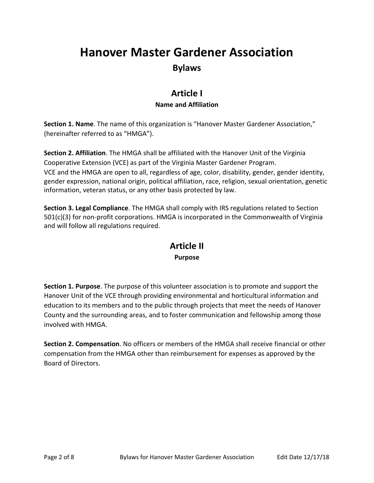## **Hanover Master Gardener Association Bylaws**

### **Article I Name and Affiliation**

**Section 1. Name**. The name of this organization is "Hanover Master Gardener Association," (hereinafter referred to as "HMGA").

**Section 2. Affiliation**. The HMGA shall be affiliated with the Hanover Unit of the Virginia Cooperative Extension (VCE) as part of the Virginia Master Gardener Program. VCE and the HMGA are open to all, regardless of age, color, disability, gender, gender identity, gender expression, national origin, political affiliation, race, religion, sexual orientation, genetic information, veteran status, or any other basis protected by law.

**Section 3. Legal Compliance**. The HMGA shall comply with IRS regulations related to Section 501(c)(3) for non-profit corporations. HMGA is incorporated in the Commonwealth of Virginia and will follow all regulations required.

### **Article II Purpose**

**Section 1. Purpose**. The purpose of this volunteer association is to promote and support the Hanover Unit of the VCE through providing environmental and horticultural information and education to its members and to the public through projects that meet the needs of Hanover County and the surrounding areas, and to foster communication and fellowship among those involved with HMGA.

**Section 2. Compensation**. No officers or members of the HMGA shall receive financial or other compensation from the HMGA other than reimbursement for expenses as approved by the Board of Directors.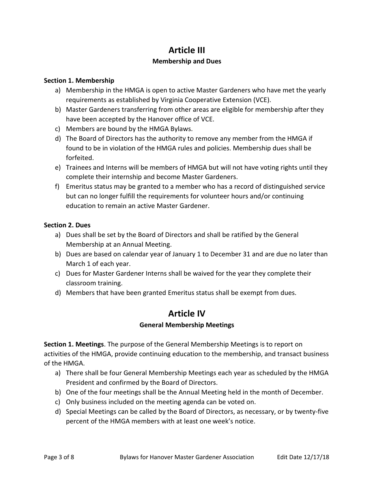## **Article III**

#### **Membership and Dues**

#### **Section 1. Membership**

- a) Membership in the HMGA is open to active Master Gardeners who have met the yearly requirements as established by Virginia Cooperative Extension (VCE).
- b) Master Gardeners transferring from other areas are eligible for membership after they have been accepted by the Hanover office of VCE.
- c) Members are bound by the HMGA Bylaws.
- d) The Board of Directors has the authority to remove any member from the HMGA if found to be in violation of the HMGA rules and policies. Membership dues shall be forfeited.
- e) Trainees and Interns will be members of HMGA but will not have voting rights until they complete their internship and become Master Gardeners.
- f) Emeritus status may be granted to a member who has a record of distinguished service but can no longer fulfill the requirements for volunteer hours and/or continuing education to remain an active Master Gardener.

#### **Section 2. Dues**

- a) Dues shall be set by the Board of Directors and shall be ratified by the General Membership at an Annual Meeting.
- b) Dues are based on calendar year of January 1 to December 31 and are due no later than March 1 of each year.
- c) Dues for Master Gardener Interns shall be waived for the year they complete their classroom training.
- d) Members that have been granted Emeritus status shall be exempt from dues.

## **Article IV**

#### **General Membership Meetings**

**Section 1. Meetings**. The purpose of the General Membership Meetings is to report on activities of the HMGA, provide continuing education to the membership, and transact business of the HMGA.

- a) There shall be four General Membership Meetings each year as scheduled by the HMGA President and confirmed by the Board of Directors.
- b) One of the four meetings shall be the Annual Meeting held in the month of December.
- c) Only business included on the meeting agenda can be voted on.
- d) Special Meetings can be called by the Board of Directors, as necessary, or by twenty-five percent of the HMGA members with at least one week's notice.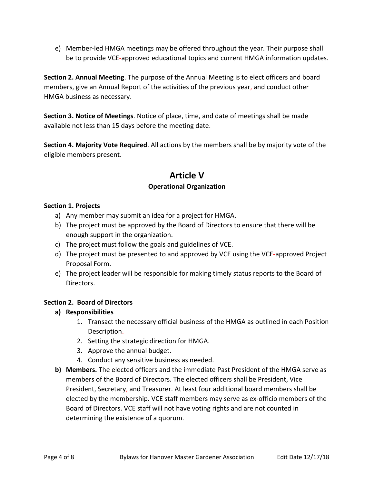e) Member-led HMGA meetings may be offered throughout the year. Their purpose shall be to provide VCE-approved educational topics and current HMGA information updates.

**Section 2. Annual Meeting**. The purpose of the Annual Meeting is to elect officers and board members, give an Annual Report of the activities of the previous year, and conduct other HMGA business as necessary.

**Section 3. Notice of Meetings**. Notice of place, time, and date of meetings shall be made available not less than 15 days before the meeting date.

**Section 4. Majority Vote Required**. All actions by the members shall be by majority vote of the eligible members present.

## **Article V Operational Organization**

#### **Section 1. Projects**

- a) Any member may submit an idea for a project for HMGA.
- b) The project must be approved by the Board of Directors to ensure that there will be enough support in the organization.
- c) The project must follow the goals and guidelines of VCE.
- d) The project must be presented to and approved by VCE using the VCE-approved Project Proposal Form.
- e) The project leader will be responsible for making timely status reports to the Board of Directors.

#### **Section 2. Board of Directors**

- **a) Responsibilities**
	- 1. Transact the necessary official business of the HMGA as outlined in each Position Description.
	- 2. Setting the strategic direction for HMGA.
	- 3. Approve the annual budget.
	- 4. Conduct any sensitive business as needed.
- **b) Members.** The elected officers and the immediate Past President of the HMGA serve as members of the Board of Directors. The elected officers shall be President, Vice President, Secretary, and Treasurer. At least four additional board members shall be elected by the membership. VCE staff members may serve as ex-officio members of the Board of Directors. VCE staff will not have voting rights and are not counted in determining the existence of a quorum.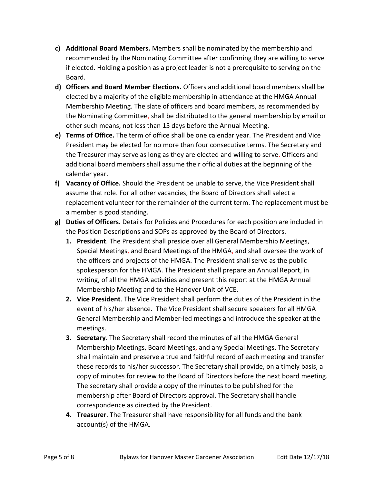- **c) Additional Board Members.** Members shall be nominated by the membership and recommended by the Nominating Committee after confirming they are willing to serve if elected. Holding a position as a project leader is not a prerequisite to serving on the Board.
- **d) Officers and Board Member Elections.** Officers and additional board members shall be elected by a majority of the eligible membership in attendance at the HMGA Annual Membership Meeting. The slate of officers and board members, as recommended by the Nominating Committee, shall be distributed to the general membership by email or other such means, not less than 15 days before the Annual Meeting.
- **e) Terms of Office.** The term of office shall be one calendar year. The President and Vice President may be elected for no more than four consecutive terms. The Secretary and the Treasurer may serve as long as they are elected and willing to serve. Officers and additional board members shall assume their official duties at the beginning of the calendar year.
- **f) Vacancy of Office.** Should the President be unable to serve, the Vice President shall assume that role. For all other vacancies, the Board of Directors shall select a replacement volunteer for the remainder of the current term. The replacement must be a member is good standing.
- **g) Duties of Officers.** Details for Policies and Procedures for each position are included in the Position Descriptions and SOPs as approved by the Board of Directors.
	- **1. President**. The President shall preside over all General Membership Meetings, Special Meetings, and Board Meetings of the HMGA, and shall oversee the work of the officers and projects of the HMGA. The President shall serve as the public spokesperson for the HMGA. The President shall prepare an Annual Report, in writing, of all the HMGA activities and present this report at the HMGA Annual Membership Meeting and to the Hanover Unit of VCE.
	- **2. Vice President**. The Vice President shall perform the duties of the President in the event of his/her absence. The Vice President shall secure speakers for all HMGA General Membership and Member-led meetings and introduce the speaker at the meetings.
	- **3. Secretary**. The Secretary shall record the minutes of all the HMGA General Membership Meetings, Board Meetings, and any Special Meetings. The Secretary shall maintain and preserve a true and faithful record of each meeting and transfer these records to his/her successor. The Secretary shall provide, on a timely basis, a copy of minutes for review to the Board of Directors before the next board meeting. The secretary shall provide a copy of the minutes to be published for the membership after Board of Directors approval. The Secretary shall handle correspondence as directed by the President.
	- **4. Treasurer**. The Treasurer shall have responsibility for all funds and the bank account(s) of the HMGA.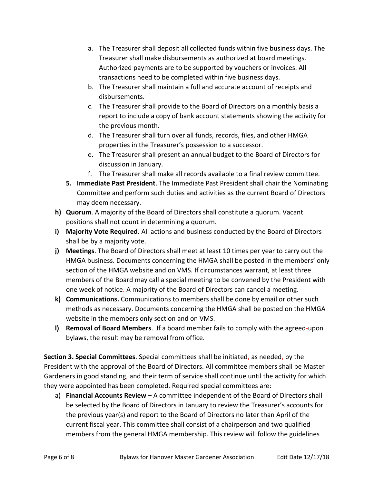- a. The Treasurer shall deposit all collected funds within five business days. The Treasurer shall make disbursements as authorized at board meetings. Authorized payments are to be supported by vouchers or invoices. All transactions need to be completed within five business days.
- b. The Treasurer shall maintain a full and accurate account of receipts and disbursements.
- c. The Treasurer shall provide to the Board of Directors on a monthly basis a report to include a copy of bank account statements showing the activity for the previous month.
- d. The Treasurer shall turn over all funds, records, files, and other HMGA properties in the Treasurer's possession to a successor.
- e. The Treasurer shall present an annual budget to the Board of Directors for discussion in January.
- f. The Treasurer shall make all records available to a final review committee.
- **5. Immediate Past President**. The Immediate Past President shall chair the Nominating Committee and perform such duties and activities as the current Board of Directors may deem necessary.
- **h) Quorum**. A majority of the Board of Directors shall constitute a quorum. Vacant positions shall not count in determining a quorum.
- **i) Majority Vote Required**. All actions and business conducted by the Board of Directors shall be by a majority vote.
- **j) Meetings**. The Board of Directors shall meet at least 10 times per year to carry out the HMGA business. Documents concerning the HMGA shall be posted in the members' only section of the HMGA website and on VMS. If circumstances warrant, at least three members of the Board may call a special meeting to be convened by the President with one week of notice. A majority of the Board of Directors can cancel a meeting.
- **k) Communications.** Communications to members shall be done by email or other such methods as necessary. Documents concerning the HMGA shall be posted on the HMGA website in the members only section and on VMS.
- **l) Removal of Board Members**. If a board member fails to comply with the agreed-upon bylaws, the result may be removal from office.

**Section 3. Special Committees**. Special committees shall be initiated, as needed, by the President with the approval of the Board of Directors. All committee members shall be Master Gardeners in good standing, and their term of service shall continue until the activity for which they were appointed has been completed. Required special committees are:

a) **Financial Accounts Review –** A committee independent of the Board of Directors shall be selected by the Board of Directors in January to review the Treasurer's accounts for the previous year(s) and report to the Board of Directors no later than April of the current fiscal year. This committee shall consist of a chairperson and two qualified members from the general HMGA membership. This review will follow the guidelines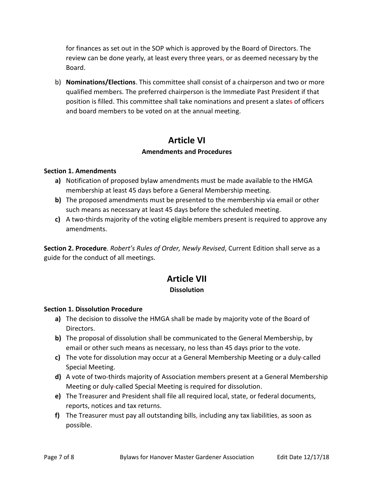for finances as set out in the SOP which is approved by the Board of Directors. The review can be done yearly, at least every three years, or as deemed necessary by the Board.

b) **Nominations/Elections**. This committee shall consist of a chairperson and two or more qualified members. The preferred chairperson is the Immediate Past President if that position is filled. This committee shall take nominations and present a slates of officers and board members to be voted on at the annual meeting.

## **Article VI**

#### **Amendments and Procedures**

#### **Section 1. Amendments**

- **a)** Notification of proposed bylaw amendments must be made available to the HMGA membership at least 45 days before a General Membership meeting.
- **b)** The proposed amendments must be presented to the membership via email or other such means as necessary at least 45 days before the scheduled meeting.
- **c)** A two-thirds majority of the voting eligible members present is required to approve any amendments.

**Section 2. Procedure**. *Robert's Rules of Order, Newly Revised*, Current Edition shall serve as a guide for the conduct of all meetings.

## **Article VII**

#### **Dissolution**

#### **Section 1. Dissolution Procedure**

- **a)** The decision to dissolve the HMGA shall be made by majority vote of the Board of Directors.
- **b)** The proposal of dissolution shall be communicated to the General Membership, by email or other such means as necessary, no less than 45 days prior to the vote.
- **c)** The vote for dissolution may occur at a General Membership Meeting or a duly-called Special Meeting.
- **d)** A vote of two-thirds majority of Association members present at a General Membership Meeting or duly-called Special Meeting is required for dissolution.
- **e)** The Treasurer and President shall file all required local, state, or federal documents, reports, notices and tax returns.
- **f)** The Treasurer must pay all outstanding bills, including any tax liabilities, as soon as possible.